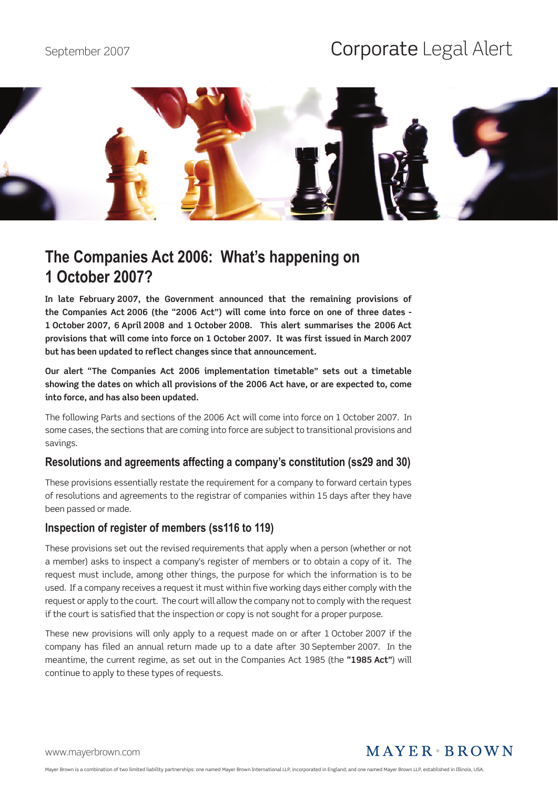# September 2007 **Corporate** Legal Alert



## **The Companies Act 2006: What's happening on 1 October 2007?**

**In late February 2007, the Government announced that the remaining provisions of the Companies Act 2006 (the "2006 Act") will come into force on one of three dates - 1 October 2007, 6 April 2008 and 1 October 2008. This alert summarises the 2006 Act provisions that will come into force on 1 October 2007. It was first issued in March 2007 but has been updated to reflect changes since that announcement.**

**Our alert "The Companies Act 2006 implementation timetable" sets out a timetable showing the dates on which all provisions of the 2006 Act have, or are expected to, come into force, and has also been updated.**

The following Parts and sections of the 2006 Act will come into force on 1 October 2007. In some cases, the sections that are coming into force are subject to transitional provisions and savings.

#### **Resolutions and agreements affecting a company's constitution (ss29 and 30)**

These provisions essentially restate the requirement for a company to forward certain types of resolutions and agreements to the registrar of companies within 15 days after they have been passed or made.

#### **Inspection of register of members (ss116 to 119)**

These provisions set out the revised requirements that apply when a person (whether or not a member) asks to inspect a company's register of members or to obtain a copy of it. The request must include, among other things, the purpose for which the information is to be used. If a company receives a request it must within five working days either comply with the request or apply to the court. The court will allow the company not to comply with the request if the court is satisfied that the inspection or copy is not sought for a proper purpose.

These new provisions will only apply to a request made on or after 1 October 2007 if the company has filed an annual return made up to a date after 30 September 2007. In the meantime, the current regime, as set out in the Companies Act 1985 (the **"1985 Act"**) will continue to apply to these types of requests.

<www.mayerbrown.com>

## MAYER BROWN

Mayer Brown is a combination of two limited liability partnerships: one named Mayer Brown International LLP, incorporated in England; and one named Mayer Brown LLP, established in Illinois, USA.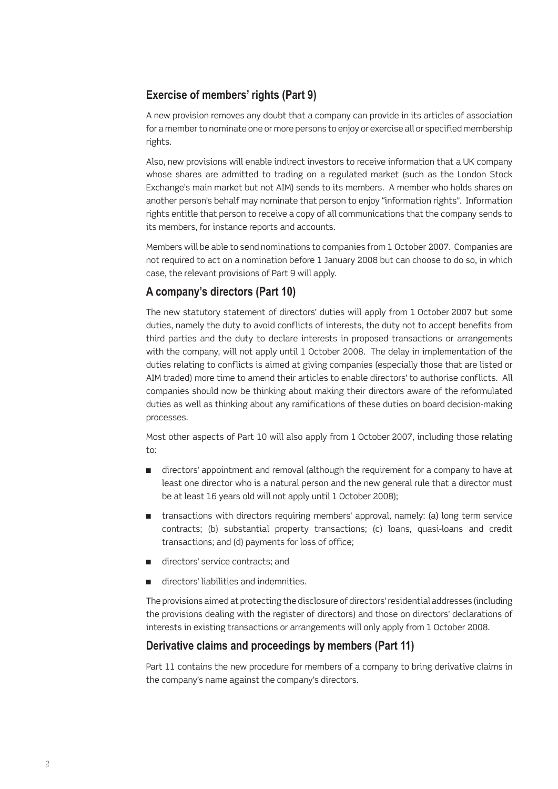## **Exercise of members' rights (Part 9)**

A new provision removes any doubt that a company can provide in its articles of association for a member to nominate one or more persons to enjoy or exercise all or specified membership rights.

Also, new provisions will enable indirect investors to receive information that a UK company whose shares are admitted to trading on a regulated market (such as the London Stock Exchange's main market but not AIM) sends to its members. A member who holds shares on another person's behalf may nominate that person to enjoy "information rights". Information rights entitle that person to receive a copy of all communications that the company sends to its members, for instance reports and accounts.

Members will be able to send nominations to companies from 1 October 2007. Companies are not required to act on a nomination before 1 January 2008 but can choose to do so, in which case, the relevant provisions of Part 9 will apply.

#### **A company's directors (Part 10)**

The new statutory statement of directors' duties will apply from 1 October 2007 but some duties, namely the duty to avoid conflicts of interests, the duty not to accept benefits from third parties and the duty to declare interests in proposed transactions or arrangements with the company, will not apply until 1 October 2008. The delay in implementation of the duties relating to conflicts is aimed at giving companies (especially those that are listed or AIM traded) more time to amend their articles to enable directors' to authorise conflicts. All companies should now be thinking about making their directors aware of the reformulated duties as well as thinking about any ramifications of these duties on board decision-making processes.

Most other aspects of Part 10 will also apply from 1 October 2007, including those relating to:

- directors' appointment and removal (although the requirement for a company to have at least one director who is a natural person and the new general rule that a director must be at least 16 years old will not apply until 1 October 2008); n
- **shifted the same of the interpolation** in the standard transactions with directors evided transactions with directors requiring members' approval, hands then service contracts; (b) substantial property transactions; (c) loans, quasi-loans and credit transactions; and (d) payments for loss of office;
- directors' service contracts; and n
- directors' liabilities and indemnities. n

The provisions aimed at protecting the disclosure of directors' residential addresses (including the provisions dealing with the register of directors) and those on directors' declarations of interests in existing transactions or arrangements will only apply from 1 October 2008.

#### **Derivative claims and proceedings by members (Part 11)**

Part 11 contains the new procedure for members of a company to bring derivative claims in the company's name against the company's directors.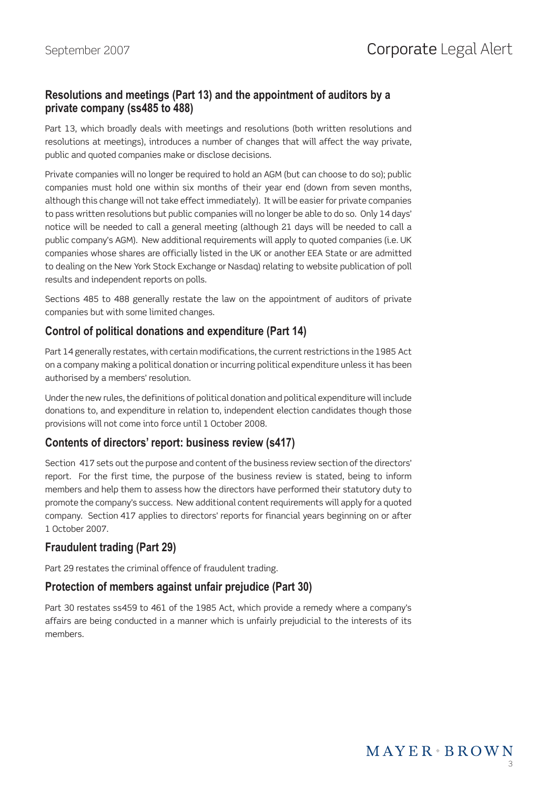## **Resolutions and meetings (Part 13) and the appointment of auditors by a private company (ss485 to 488)**

Part 13, which broadly deals with meetings and resolutions (both written resolutions and resolutions at meetings), introduces a number of changes that will affect the way private, public and quoted companies make or disclose decisions.

Private companies will no longer be required to hold an AGM (but can choose to do so); public companies must hold one within six months of their year end (down from seven months, although this change will not take effect immediately). It will be easier for private companies to pass written resolutions but public companies will no longer be able to do so. Only 14 days' notice will be needed to call a general meeting (although 21 days will be needed to call a public company's AGM). New additional requirements will apply to quoted companies (i.e. UK companies whose shares are officially listed in the UK or another EEA State or are admitted to dealing on the New York Stock Exchange or Nasdaq) relating to website publication of poll results and independent reports on polls.

Sections 485 to 488 generally restate the law on the appointment of auditors of private companies but with some limited changes.

## **Control of political donations and expenditure (Part 14)**

Part 14 generally restates, with certain modifications, the current restrictions in the 1985 Act on a company making a political donation or incurring political expenditure unless it has been authorised by a members' resolution.

Under the new rules, the definitions of political donation and political expenditure will include donations to, and expenditure in relation to, independent election candidates though those provisions will not come into force until 1 October 2008.

## **Contents of directors' report: business review (s417)**

Section 417 sets out the purpose and content of the business review section of the directors' report. For the first time, the purpose of the business review is stated, being to inform members and help them to assess how the directors have performed their statutory duty to promote the company's success. New additional content requirements will apply for a quoted company. Section 417 applies to directors' reports for financial years beginning on or after 1 October 2007.

## **Fraudulent trading (Part 29)**

Part 29 restates the criminal offence of fraudulent trading.

## **Protection of members against unfair prejudice (Part 30)**

Part 30 restates ss459 to 461 of the 1985 Act, which provide a remedy where a company's affairs are being conducted in a manner which is unfairly prejudicial to the interests of its members.